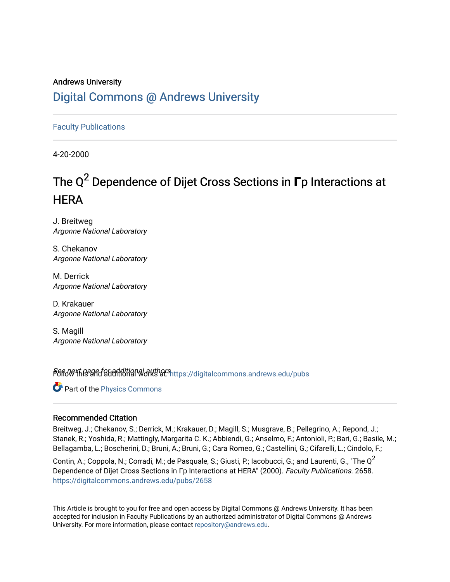## Andrews University [Digital Commons @ Andrews University](https://digitalcommons.andrews.edu/)

[Faculty Publications](https://digitalcommons.andrews.edu/pubs)

4-20-2000

# The Q<sup>2</sup> Dependence of Dijet Cross Sections in **Γ**p Interactions at **HERA**

J. Breitweg Argonne National Laboratory

S. Chekanov Argonne National Laboratory

M. Derrick Argonne National Laboratory

D. Krakauer Argonne National Laboratory

S. Magill Argonne National Laboratory

Pert of the and additional authors intips://digitalcommons.andrews.edu/pubs

Part of the [Physics Commons](http://network.bepress.com/hgg/discipline/193?utm_source=digitalcommons.andrews.edu%2Fpubs%2F2658&utm_medium=PDF&utm_campaign=PDFCoverPages)

#### Recommended Citation

Breitweg, J.; Chekanov, S.; Derrick, M.; Krakauer, D.; Magill, S.; Musgrave, B.; Pellegrino, A.; Repond, J.; Stanek, R.; Yoshida, R.; Mattingly, Margarita C. K.; Abbiendi, G.; Anselmo, F.; Antonioli, P.; Bari, G.; Basile, M.; Bellagamba, L.; Boscherini, D.; Bruni, A.; Bruni, G.; Cara Romeo, G.; Castellini, G.; Cifarelli, L.; Cindolo, F.;

Contin, A.; Coppola, N.; Corradi, M.; de Pasquale, S.; Giusti, P.; Iacobucci, G.; and Laurenti, G., "The  $Q^2$ Dependence of Dijet Cross Sections in Γp Interactions at HERA" (2000). Faculty Publications. 2658. [https://digitalcommons.andrews.edu/pubs/2658](https://digitalcommons.andrews.edu/pubs/2658?utm_source=digitalcommons.andrews.edu%2Fpubs%2F2658&utm_medium=PDF&utm_campaign=PDFCoverPages) 

This Article is brought to you for free and open access by Digital Commons @ Andrews University. It has been accepted for inclusion in Faculty Publications by an authorized administrator of Digital Commons @ Andrews University. For more information, please contact [repository@andrews.edu](mailto:repository@andrews.edu).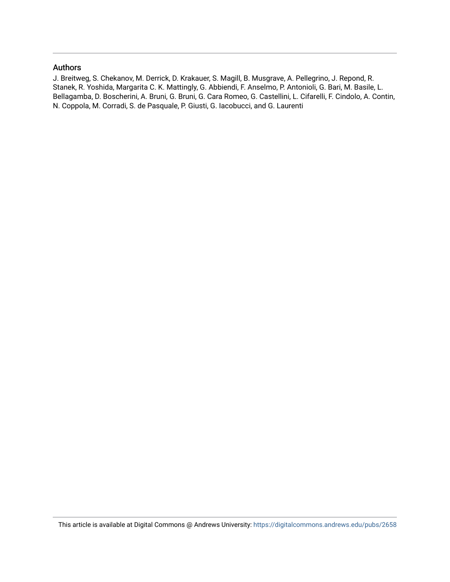#### Authors

J. Breitweg, S. Chekanov, M. Derrick, D. Krakauer, S. Magill, B. Musgrave, A. Pellegrino, J. Repond, R. Stanek, R. Yoshida, Margarita C. K. Mattingly, G. Abbiendi, F. Anselmo, P. Antonioli, G. Bari, M. Basile, L. Bellagamba, D. Boscherini, A. Bruni, G. Bruni, G. Cara Romeo, G. Castellini, L. Cifarelli, F. Cindolo, A. Contin, N. Coppola, M. Corradi, S. de Pasquale, P. Giusti, G. Iacobucci, and G. Laurenti

This article is available at Digital Commons @ Andrews University:<https://digitalcommons.andrews.edu/pubs/2658>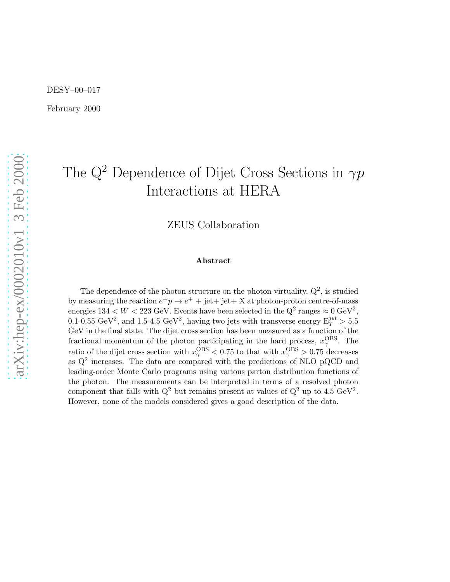February 2000

# The  $Q^2$  Dependence of Dijet Cross Sections in  $\gamma p$ Interactions at HERA

ZEUS Collaboration

#### Abstract

The dependence of the photon structure on the photon virtuality,  $Q^2$ , is studied by measuring the reaction  $e^+p \to e^+ + \text{jet} + \text{jet} + X$  at photon-proton centre-of-mass energies  $134 < W < 223$  GeV. Events have been selected in the  $Q^2$  ranges  $\approx 0$  GeV<sup>2</sup>, 0.1-0.55 GeV<sup>2</sup>, and 1.5-4.5 GeV<sup>2</sup>, having two jets with transverse energy  $E_T^{jet} > 5.5$ GeV in the final state. The dijet cross section has been measured as a function of the fractional momentum of the photon participating in the hard process,  $x_{\gamma}^{\text{OBS}}$ . The ratio of the dijet cross section with  $x_{\gamma}^{\text{OBS}} < 0.75$  to that with  $x_{\gamma}^{\text{OBS}} > 0.75$  decreases as  $Q^2$  increases. The data are compared with the predictions of NLO pQCD and leading-order Monte Carlo programs using various parton distribution functions of the photon. The measurements can be interpreted in terms of a resolved photon component that falls with  $Q^2$  but remains present at values of  $Q^2$  up to 4.5 GeV<sup>2</sup>. However, none of the models considered gives a good description of the data.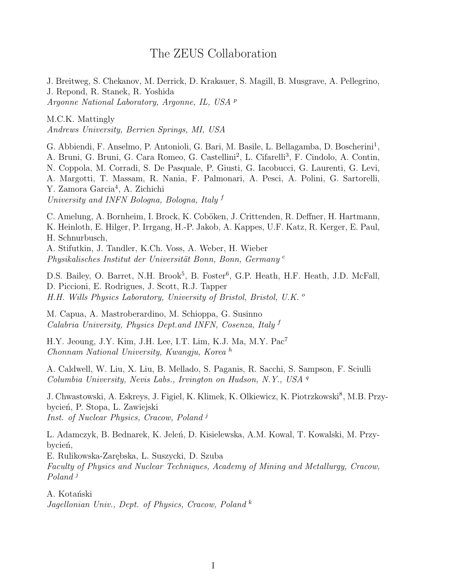#### The ZEUS Collaboration

J. Breitweg, S. Chekanov, M. Derrick, D. Krakauer, S. Magill, B. Musgrave, A. Pellegrino, J. Repond, R. Stanek, R. Yoshida Argonne National Laboratory, Argonne, IL, USA <sup>p</sup>

M.C.K. Mattingly Andrews University, Berrien Springs, MI, USA

G. Abbiendi, F. Anselmo, P. Antonioli, G. Bari, M. Basile, L. Bellagamba, D. Boscherini<sup>1</sup>, A. Bruni, G. Bruni, G. Cara Romeo, G. Castellini<sup>2</sup>, L. Cifarelli<sup>3</sup>, F. Cindolo, A. Contin, N. Coppola, M. Corradi, S. De Pasquale, P. Giusti, G. Iacobucci, G. Laurenti, G. Levi, A. Margotti, T. Massam, R. Nania, F. Palmonari, A. Pesci, A. Polini, G. Sartorelli, Y. Zamora Garcia<sup>4</sup>, A. Zichichi University and INFN Bologna, Bologna, Italy <sup>f</sup>

C. Amelung, A. Bornheim, I. Brock, K. Coböken, J. Crittenden, R. Deffner, H. Hartmann, K. Heinloth, E. Hilger, P. Irrgang, H.-P. Jakob, A. Kappes, U.F. Katz, R. Kerger, E. Paul, H. Schnurbusch, A. Stifutkin, J. Tandler, K.Ch. Voss, A. Weber, H. Wieber Physikalisches Institut der Universität Bonn, Bonn, Germany c

D.S. Bailey, O. Barret, N.H. Brook<sup>5</sup>, B. Foster<sup>6</sup>, G.P. Heath, H.F. Heath, J.D. McFall, D. Piccioni, E. Rodrigues, J. Scott, R.J. Tapper H.H. Wills Physics Laboratory, University of Bristol, Bristol, U.K. <sup>o</sup>

M. Capua, A. Mastroberardino, M. Schioppa, G. Susinno Calabria University, Physics Dept.and INFN, Cosenza, Italy f

H.Y. Jeoung, J.Y. Kim, J.H. Lee, I.T. Lim, K.J. Ma, M.Y. Pac<sup>7</sup> Chonnam National University, Kwangju, Korea <sup>h</sup>

A. Caldwell, W. Liu, X. Liu, B. Mellado, S. Paganis, R. Sacchi, S. Sampson, F. Sciulli Columbia University, Nevis Labs., Irvington on Hudson, N.Y., USA <sup>q</sup>

J. Chwastowski, A. Eskreys, J. Figiel, K. Klimek, K. Olkiewicz, K. Piotrzkowski<sup>8</sup>, M.B. Przybycień, P. Stopa, L. Zawiejski Inst. of Nuclear Physics, Cracow, Poland <sup>j</sup>

L. Adamczyk, B. Bednarek, K. Jeleń, D. Kisielewska, A.M. Kowal, T. Kowalski, M. Przybycień,

E. Rulikowska-Zarębska, L. Suszycki, D. Szuba

Faculty of Physics and Nuclear Techniques, Academy of Mining and Metallurgy, Cracow, Poland<sup>j</sup>

A. Kotański Jagellonian Univ., Dept. of Physics, Cracow, Poland  $^k$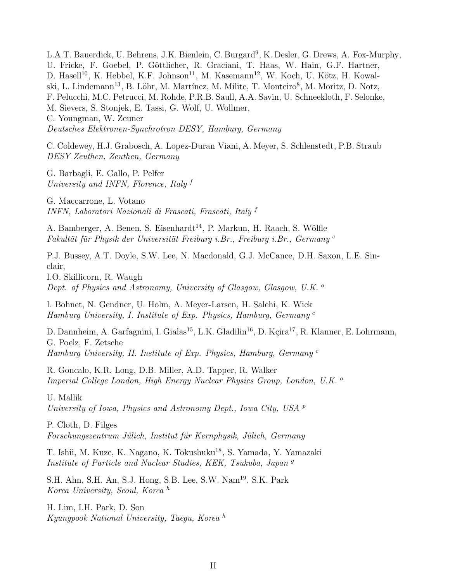L.A.T. Bauerdick, U. Behrens, J.K. Bienlein, C. Burgard<sup>9</sup>, K. Desler, G. Drews, A. Fox-Murphy, U. Fricke, F. Goebel, P. Göttlicher, R. Graciani, T. Haas, W. Hain, G.F. Hartner, D. Hasell<sup>10</sup>, K. Hebbel, K.F. Johnson<sup>11</sup>, M. Kasemann<sup>12</sup>, W. Koch, U. Kötz, H. Kowalski, L. Lindemann<sup>13</sup>, B. Löhr, M. Martínez, M. Milite, T. Monteiro<sup>8</sup>, M. Moritz, D. Notz, F. Pelucchi, M.C. Petrucci, M. Rohde, P.R.B. Saull, A.A. Savin, U. Schneekloth, F. Selonke, M. Sievers, S. Stonjek, E. Tassi, G. Wolf, U. Wollmer, C. Youngman, W. Zeuner Deutsches Elektronen-Synchrotron DESY, Hamburg, Germany

C. Coldewey, H.J. Grabosch, A. Lopez-Duran Viani, A. Meyer, S. Schlenstedt, P.B. Straub DESY Zeuthen, Zeuthen, Germany

G. Barbagli, E. Gallo, P. Pelfer University and INFN, Florence, Italy  $f$ 

G. Maccarrone, L. Votano INFN, Laboratori Nazionali di Frascati, Frascati, Italy <sup>f</sup>

A. Bamberger, A. Benen, S. Eisenhardt<sup>14</sup>, P. Markun, H. Raach, S. Wölfle Fakultät für Physik der Universität Freiburg i.Br., Freiburg i.Br., Germany c

P.J. Bussey, A.T. Doyle, S.W. Lee, N. Macdonald, G.J. McCance, D.H. Saxon, L.E. Sinclair,

I.O. Skillicorn, R. Waugh Dept. of Physics and Astronomy, University of Glasgow, Glasgow, U.K.  $^{\circ}$ 

I. Bohnet, N. Gendner, U. Holm, A. Meyer-Larsen, H. Salehi, K. Wick Hamburg University, I. Institute of Exp. Physics, Hamburg, Germany <sup>c</sup>

D. Dannheim, A. Garfagnini, I. Gialas<sup>15</sup>, L.K. Gladilin<sup>16</sup>, D. Kçira<sup>17</sup>, R. Klanner, E. Lohrmann, G. Poelz, F. Zetsche Hamburg University, II. Institute of Exp. Physics, Hamburg, Germany <sup>c</sup>

R. Goncalo, K.R. Long, D.B. Miller, A.D. Tapper, R. Walker Imperial College London, High Energy Nuclear Physics Group, London, U.K. <sup>o</sup>

U. Mallik University of Iowa, Physics and Astronomy Dept., Iowa City, USA <sup>p</sup>

P. Cloth, D. Filges Forschungszentrum Jülich, Institut für Kernphysik, Jülich, Germany

T. Ishii, M. Kuze, K. Nagano, K. Tokushuku<sup>18</sup>, S. Yamada, Y. Yamazaki Institute of Particle and Nuclear Studies, KEK, Tsukuba, Japan <sup>g</sup>

S.H. Ahn, S.H. An, S.J. Hong, S.B. Lee, S.W. Nam<sup>19</sup>, S.K. Park Korea University, Seoul, Korea <sup>h</sup>

H. Lim, I.H. Park, D. Son Kyungpook National University, Taegu, Korea <sup>h</sup>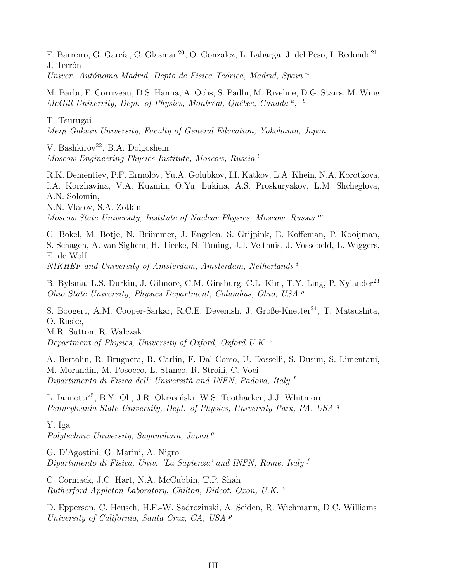F. Barreiro, G. García, C. Glasman<sup>20</sup>, O. Gonzalez, L. Labarga, J. del Peso, I. Redondo<sup>21</sup>, J. Terrón Univer. Autónoma Madrid, Depto de Física Teórica, Madrid, Spain  $<sup>n</sup>$ </sup>

M. Barbi, F. Corriveau, D.S. Hanna, A. Ochs, S. Padhi, M. Riveline, D.G. Stairs, M. Wing  $McGill$  University, Dept. of Physics, Montréal, Québec, Canada<sup>a</sup>, <sup>b</sup>

T. Tsurugai

Meiji Gakuin University, Faculty of General Education, Yokohama, Japan

V. Bashkirov<sup>22</sup>, B.A. Dolgoshein Moscow Engineering Physics Institute, Moscow, Russia <sup>l</sup>

R.K. Dementiev, P.F. Ermolov, Yu.A. Golubkov, I.I. Katkov, L.A. Khein, N.A. Korotkova, I.A. Korzhavina, V.A. Kuzmin, O.Yu. Lukina, A.S. Proskuryakov, L.M. Shcheglova, A.N. Solomin, N.N. Vlasov, S.A. Zotkin Moscow State University, Institute of Nuclear Physics, Moscow, Russia <sup>m</sup>

C. Bokel, M. Botje, N. Brümmer, J. Engelen, S. Grijpink, E. Koffeman, P. Kooijman, S. Schagen, A. van Sighem, H. Tiecke, N. Tuning, J.J. Velthuis, J. Vossebeld, L. Wiggers, E. de Wolf

NIKHEF and University of Amsterdam, Amsterdam, Netherlands i

B. Bylsma, L.S. Durkin, J. Gilmore, C.M. Ginsburg, C.L. Kim, T.Y. Ling, P. Nylander<sup>23</sup> Ohio State University, Physics Department, Columbus, Ohio, USA <sup>p</sup>

S. Boogert, A.M. Cooper-Sarkar, R.C.E. Devenish, J. Große-Knetter<sup>24</sup>, T. Matsushita, O. Ruske, M.R. Sutton, R. Walczak

Department of Physics, University of Oxford, Oxford U.K.  $\circ$ 

A. Bertolin, R. Brugnera, R. Carlin, F. Dal Corso, U. Dosselli, S. Dusini, S. Limentani, M. Morandin, M. Posocco, L. Stanco, R. Stroili, C. Voci Dipartimento di Fisica dell' Università and INFN, Padova, Italy f

L. Iannotti<sup>25</sup>, B.Y. Oh, J.R. Okrasiński, W.S. Toothacker, J.J. Whitmore Pennsylvania State University, Dept. of Physics, University Park, PA, USA <sup>q</sup>

Y. Iga

Polytechnic University, Sagamihara, Japan<sup>9</sup>

G. D'Agostini, G. Marini, A. Nigro Dipartimento di Fisica, Univ. 'La Sapienza' and INFN, Rome, Italy  $f$ 

C. Cormack, J.C. Hart, N.A. McCubbin, T.P. Shah Rutherford Appleton Laboratory, Chilton, Didcot, Oxon, U.K. <sup>o</sup>

D. Epperson, C. Heusch, H.F.-W. Sadrozinski, A. Seiden, R. Wichmann, D.C. Williams University of California, Santa Cruz, CA, USA <sup>p</sup>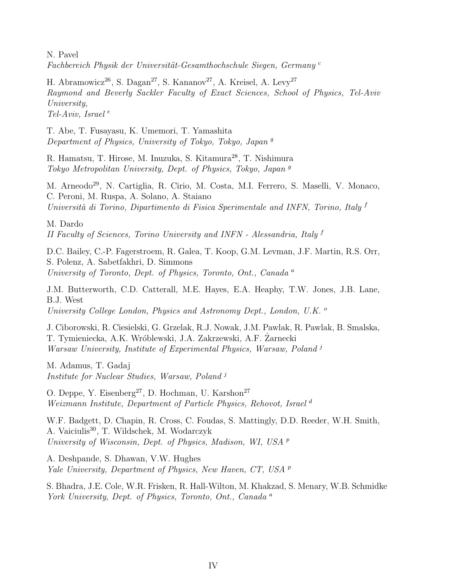N. Pavel Fachbereich Physik der Universität-Gesamthochschule Siegen, Germany<sup>c</sup>

H. Abramowicz<sup>26</sup>, S. Dagan<sup>27</sup>, S. Kananov<sup>27</sup>, A. Kreisel, A. Levy<sup>27</sup> Raymond and Beverly Sackler Faculty of Exact Sciences, School of Physics, Tel-Aviv University, Tel-Aviv, Israel<sup>e</sup>

T. Abe, T. Fusayasu, K. Umemori, T. Yamashita Department of Physics, University of Tokyo, Tokyo, Japan <sup>g</sup>

R. Hamatsu, T. Hirose, M. Inuzuka, S. Kitamura<sup>28</sup>, T. Nishimura Tokyo Metropolitan University, Dept. of Physics, Tokyo, Japan <sup>g</sup>

M. Arneodo<sup>29</sup>, N. Cartiglia, R. Cirio, M. Costa, M.I. Ferrero, S. Maselli, V. Monaco, C. Peroni, M. Ruspa, A. Solano, A. Staiano Università di Torino, Dipartimento di Fisica Sperimentale and INFN, Torino, Italy  $f$ 

M. Dardo II Faculty of Sciences, Torino University and INFN - Alessandria, Italy <sup>f</sup>

D.C. Bailey, C.-P. Fagerstroem, R. Galea, T. Koop, G.M. Levman, J.F. Martin, R.S. Orr, S. Polenz, A. Sabetfakhri, D. Simmons University of Toronto, Dept. of Physics, Toronto, Ont., Canada<sup>a</sup>

J.M. Butterworth, C.D. Catterall, M.E. Hayes, E.A. Heaphy, T.W. Jones, J.B. Lane, B.J. West University College London, Physics and Astronomy Dept., London, U.K. <sup>o</sup>

J. Ciborowski, R. Ciesielski, G. Grzelak, R.J. Nowak, J.M. Pawlak, R. Pawlak, B. Smalska, T. Tymieniecka, A.K. Wróblewski, J.A. Zakrzewski, A.F. Zarnecki Warsaw University, Institute of Experimental Physics, Warsaw, Poland<sup>j</sup>

M. Adamus, T. Gadaj Institute for Nuclear Studies, Warsaw, Poland<sup>j</sup>

O. Deppe, Y. Eisenberg<sup>27</sup>, D. Hochman, U. Karshon<sup>27</sup> Weizmann Institute, Department of Particle Physics, Rehovot, Israel<sup>d</sup>

W.F. Badgett, D. Chapin, R. Cross, C. Foudas, S. Mattingly, D.D. Reeder, W.H. Smith, A. Vaiciulis<sup>30</sup>, T. Wildschek, M. Wodarczyk University of Wisconsin, Dept. of Physics, Madison, WI, USA <sup>p</sup>

A. Deshpande, S. Dhawan, V.W. Hughes Yale University, Department of Physics, New Haven, CT, USA <sup>p</sup>

S. Bhadra, J.E. Cole, W.R. Frisken, R. Hall-Wilton, M. Khakzad, S. Menary, W.B. Schmidke York University, Dept. of Physics, Toronto, Ont., Canada<sup>a</sup>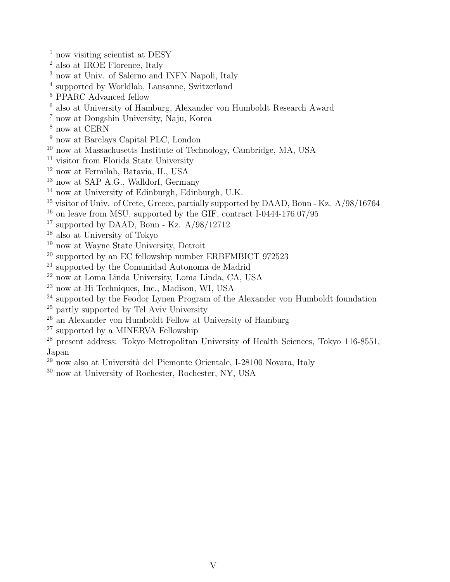- $^{\rm 1}$  now visiting scientist at DESY
- also at IROE Florence, Italy
- <sup>3</sup> now at Univ. of Salerno and INFN Napoli, Italy
- supported by Worldlab, Lausanne, Switzerland
- PPARC Advanced fellow
- also at University of Hamburg, Alexander von Humboldt Research Award
- now at Dongshin University, Naju, Korea
- now at CERN
- <sup>9</sup> now at Barclays Capital PLC, London
- now at Massachusetts Institute of Technology, Cambridge, MA, USA
- <sup>11</sup> visitor from Florida State University
- now at Fermilab, Batavia, IL, USA
- <sup>13</sup> now at SAP A.G., Walldorf, Germany
- now at University of Edinburgh, Edinburgh, U.K.
- <sup>15</sup> visitor of Univ. of Crete, Greece, partially supported by DAAD, Bonn Kz. A/98/16764
- on leave from MSU, supported by the GIF, contract I-0444-176.07/95
- <sup>17</sup> supported by DAAD, Bonn Kz.  $A/98/12712$
- also at University of Tokyo
- now at Wayne State University, Detroit
- supported by an EC fellowship number ERBFMBICT 972523
- supported by the Comunidad Autonoma de Madrid
- now at Loma Linda University, Loma Linda, CA, USA
- now at Hi Techniques, Inc., Madison, WI, USA
- <sup>24</sup> supported by the Feodor Lynen Program of the Alexander von Humboldt foundation
- partly supported by Tel Aviv University
- an Alexander von Humboldt Fellow at University of Hamburg
- supported by a MINERVA Fellowship
- <sup>28</sup> present address: Tokyo Metropolitan University of Health Sciences, Tokyo 116-8551, Japan
- <sup>29</sup> now also at Università del Piemonte Orientale, I-28100 Novara, Italy
- now at University of Rochester, Rochester, NY, USA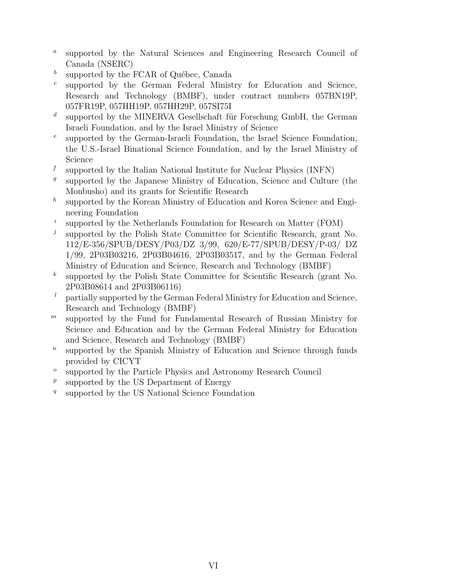- a supported by the Natural Sciences and Engineering Research Council of Canada (NSERC)
- b supported by the FCAR of Québec, Canada
- c supported by the German Federal Ministry for Education and Science, Research and Technology (BMBF), under contract numbers 057BN19P, 057FR19P, 057HH19P, 057HH29P, 057SI75I
- d supported by the MINERVA Gesellschaft für Forschung GmbH, the German Israeli Foundation, and by the Israel Ministry of Science
- e supported by the German-Israeli Foundation, the Israel Science Foundation, the U.S.-Israel Binational Science Foundation, and by the Israel Ministry of Science
- f supported by the Italian National Institute for Nuclear Physics (INFN)
- g supported by the Japanese Ministry of Education, Science and Culture (the Monbusho) and its grants for Scientific Research
- $h$ supported by the Korean Ministry of Education and Korea Science and Engineering Foundation
- i supported by the Netherlands Foundation for Research on Matter (FOM)
- $\int$ supported by the Polish State Committee for Scientific Research, grant No. 112/E-356/SPUB/DESY/P03/DZ 3/99, 620/E-77/SPUB/DESY/P-03/ DZ 1/99, 2P03B03216, 2P03B04616, 2P03B03517, and by the German Federal Ministry of Education and Science, Research and Technology (BMBF)
- k supported by the Polish State Committee for Scientific Research (grant No. 2P03B08614 and 2P03B06116)
- $l$  partially supported by the German Federal Ministry for Education and Science, Research and Technology (BMBF)
- $<sup>m</sup>$  supported by the Fund for Fundamental Research of Russian Ministry for</sup> Science and Education and by the German Federal Ministry for Education and Science, Research and Technology (BMBF)
- $\boldsymbol{n}$ supported by the Spanish Ministry of Education and Science through funds provided by CICYT
- o supported by the Particle Physics and Astronomy Research Council
- p supported by the US Department of Energy
- $\boldsymbol{q}$ supported by the US National Science Foundation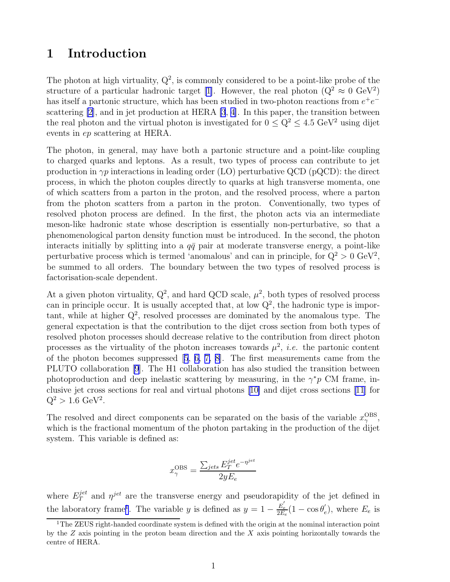### 1 Introduction

The photon at high virtuality,  $Q^2$ , is commonly considered to be a point-like probe of the structure of a particular hadronic target [\[1\]](#page-17-0). However, the real photon  $(Q^2 \approx 0 \text{ GeV}^2)$ has itself a partonic structure, which has been studied in two-photon reactions from  $e^+e^$ scattering [\[2](#page-17-0)], and in jet production at HERA [\[3](#page-17-0), [4\]](#page-17-0). In this paper, the transition between the real photon and the virtual photon is investigated for  $0 \le Q^2 \le 4.5 \text{ GeV}^2$  using dijet events in ep scattering at HERA.

The photon, in general, may have both a partonic structure and a point-like coupling to charged quarks and leptons. As a result, two types of process can contribute to jet production in  $\gamma p$  interactions in leading order (LO) perturbative QCD (pQCD): the direct process, in which the photon couples directly to quarks at high transverse momenta, one of which scatters from a parton in the proton, and the resolved process, where a parton from the photon scatters from a parton in the proton. Conventionally, two types of resolved photon process are defined. In the first, the photon acts via an intermediate meson-like hadronic state whose description is essentially non-perturbative, so that a phenomenological parton density function must be introduced. In the second, the photon interacts initially by splitting into a  $q\bar{q}$  pair at moderate transverse energy, a point-like perturbative process which is termed 'anomalous' and can in principle, for  $Q^2 > 0$  GeV<sup>2</sup>, be summed to all orders. The boundary between the two types of resolved process is factorisation-scale dependent.

At a given photon virtuality,  $Q^2$ , and hard QCD scale,  $\mu^2$ , both types of resolved process can in principle occur. It is usually accepted that, at low  $Q^2$ , the hadronic type is important, while at higher  $Q^2$ , resolved processes are dominated by the anomalous type. The general expectation is that the contribution to the dijet cross section from both types of resolved photon processes should decrease relative to the contribution from direct photon processes as the virtuality of the photon increases towards  $\mu^2$ , *i.e.* the partonic content of the photon becomes suppressed[[5](#page-17-0), [6, 7, 8\]](#page-17-0). The first measurements came from the PLUTO collaboration [\[9](#page-17-0)]. The H1 collaboration has also studied the transition between photoproduction and deep inelastic scattering by measuring, in the  $\gamma^* p$  CM frame, inclusive jet cross sections for real and virtual photons[[10\]](#page-17-0) and dijet cross sections [\[11\]](#page-17-0) for  $Q^2 > 1.6 \text{ GeV}^2$ .

The resolved and direct components can be separated on the basis of the variable  $x_{\gamma}^{\text{OBS}}$ овs $_{\gamma}$ which is the fractional momentum of the photon partaking in the production of the dijet system. This variable is defined as:

$$
x_\gamma^{\rm OBS} = \frac{\sum_{jets} E_T^{jet} e^{-\eta^{jet}}}{2y E_e}
$$

where  $E_T^{jet}$  and  $\eta^{jet}$  are the transverse energy and pseudorapidity of the jet defined in the laboratory frame<sup>1</sup>. The variable y is defined as  $y = 1 - \frac{E'_e}{2E}$  $\frac{E_e^{'}}{2E_e}(1-\cos\theta_e^{'})$  $(e)$ , where  $E_e$  is

<sup>&</sup>lt;sup>1</sup>The ZEUS right-handed coordinate system is defined with the origin at the nominal interaction point by the  $Z$  axis pointing in the proton beam direction and the  $X$  axis pointing horizontally towards the centre of HERA.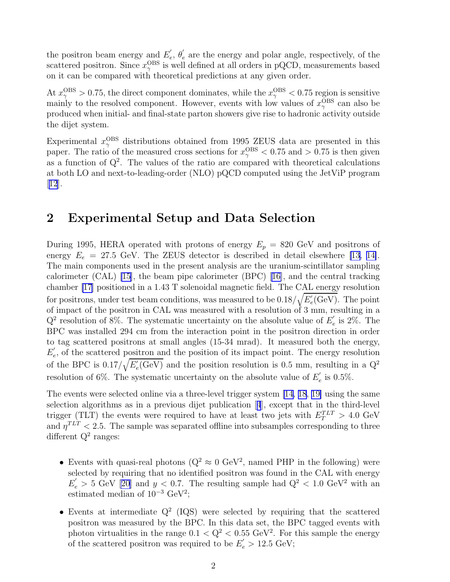the positron beam energy and  $E'_{\epsilon}$  $e^\prime,\ \theta^\prime_e$  $e$  are the energy and polar angle, respectively, of the scattered positron. Since  $x_{\gamma}^{\text{OBS}}$  $_{\gamma}^{\mathrm{OBS}}$  is well defined at all orders in pQCD, measurements based on it can be compared with theoretical predictions at any given order.

At  $x_{\gamma}^{\text{OBS}} > 0.75$ , the direct component dominates, while the  $x_{\gamma}^{\text{OBS}} < 0.75$  region is sensitive mainly to the resolved component. However, events with low values of  $x_{\gamma}^{\text{OBS}}$  $_{\gamma}^{\mathrm{OBS}}$  can also be produced when initial- and final-state parton showers give rise to hadronic activity outside the dijet system.

Experimental  $x_{\gamma}^{\text{OBS}}$  distributions obtained from 1995 ZEUS data are presented in this paper. The ratio of the measured cross sections for  $x_{\gamma}^{\text{OBS}} < 0.75$  and  $> 0.75$  is then given as a function of  $Q^2$ . The values of the ratio are compared with theoretical calculations at both LO and next-to-leading-order (NLO) pQCD computed using the JetViP program  $|12|$  $|12|$  $|12|$ .

#### 2 Experimental Setup and Data Selection

During 1995, HERA operated with protons of energy  $E_p = 820$  GeV and positrons of energy  $E_e = 27.5$  GeV. The ZEUS detector is described in detail elsewhere [\[13, 14\]](#page-18-0). The main components used in the present analysis are the uranium-scintillator sampling calorimeter (CAL) [\[15\]](#page-18-0), the beam pipe calorimeter (BPC) [\[16\]](#page-18-0), and the central tracking chamber [\[17](#page-18-0)] positioned in a 1.43 T solenoidal magnetic field. The CAL energy resolution for positrons, under test beam conditions, was measured to be  $0.18/\sqrt{E_e^2}$  $e'_{e}$ (GeV). The point of impact of the positron in CAL was measured with a resolution of 3 mm, resulting in a  $Q^2$  resolution of 8%. The systematic uncertainty on the absolute value of  $E'_e$  $e$  is 2%. The BPC was installed 294 cm from the interaction point in the positron direction in order to tag scattered positrons at small angles (15-34 mrad). It measured both the energy,  $E_{\epsilon}^{'}$  $e<sub>e</sub>$ , of the scattered positron and the position of its impact point. The energy resolution of the BPC is  $0.17/\sqrt{E_e'}$  $e'_{e}$ (GeV) and the position resolution is 0.5 mm, resulting in a  $Q^{2}$ resolution of 6%. The systematic uncertainty on the absolute value of  $E'_{\epsilon}$  $e^{'}$  is 0.5%.

The events were selected online via a three-level trigger system [\[14, 18](#page-18-0), [19\]](#page-18-0) using the same selection algorithms as in a previous dijet publication[[4](#page-17-0)], except that in the third-level trigger (TLT) the events were required to have at least two jets with  $E_T^{TLT} > 4.0$  GeV and  $\eta^{TLT}$  < 2.5. The sample was separated offline into subsamples corresponding to three different  $Q^2$  ranges:

- Events with quasi-real photons ( $Q^2 \approx 0 \text{ GeV}^2$ , named PHP in the following) were selected by requiring that no identified positron was found in the CAL with energy  $E_e' > 5$  GeV [\[20\]](#page-18-0) and  $y < 0.7$ . The resulting sample had  $Q^2 < 1.0$  GeV<sup>2</sup> with an estimated median of 10<sup>−</sup><sup>3</sup> GeV<sup>2</sup> ;
- Events at intermediate  $Q^2$  (IQS) were selected by requiring that the scattered positron was measured by the BPC. In this data set, the BPC tagged events with photon virtualities in the range  $0.1 < Q^2 < 0.55$  GeV<sup>2</sup>. For this sample the energy of the scattered positron was required to be  $E_e' > 12.5 \text{ GeV};$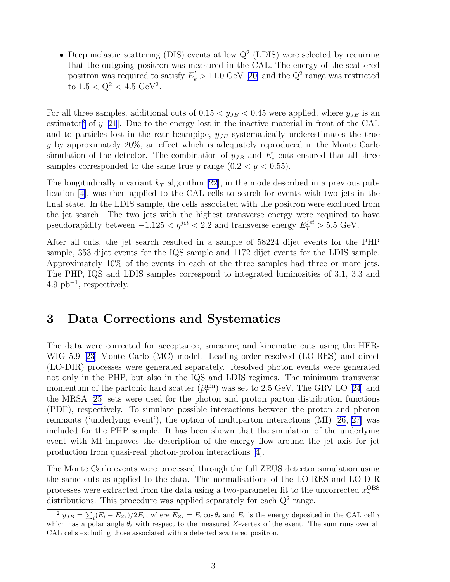• Deep inelastic scattering (DIS) events at low  $Q^2$  (LDIS) were selected by requiring that the outgoing positron was measured in the CAL. The energy of the scattered positron was required to satisfy  $E_e' > 11.0$  GeV [\[20\]](#page-18-0) and the  $Q^2$  range was restricted to  $1.5 < Q^2 < 4.5 \text{ GeV}^2$ .

For all three samples, additional cuts of  $0.15 < y_{JB} < 0.45$  were applied, where  $y_{JB}$  is an estimator<sup>2</sup> of y [[21](#page-18-0)]. Due to the energy lost in the inactive material in front of the CAL and to particles lost in the rear beampipe,  $y_{JB}$  systematically underestimates the true y by approximately 20%, an effect which is adequately reproduced in the Monte Carlo simulation of the detector. The combination of  $y_{JB}$  and  $E'_{\epsilon}$  $e$ <sup>'</sup> cuts ensured that all three samples corresponded to the same true y range  $(0.2 < y < 0.55)$ .

The longitudinally invariant  $k_T$  algorithm [\[22](#page-18-0)], in the mode described in a previous publication[[4\]](#page-17-0), was then applied to the CAL cells to search for events with two jets in the final state. In the LDIS sample, the cells associated with the positron were excluded from the jet search. The two jets with the highest transverse energy were required to have pseudorapidity between  $-1.125 < \eta^{jet} < 2.2$  and transverse energy  $E_T^{jet} > 5.5$  GeV.

After all cuts, the jet search resulted in a sample of 58224 dijet events for the PHP sample, 353 dijet events for the IQS sample and 1172 dijet events for the LDIS sample. Approximately 10% of the events in each of the three samples had three or more jets. The PHP, IQS and LDIS samples correspond to integrated luminosities of 3.1, 3.3 and  $4.9 \text{ pb}^{-1}$ , respectively.

### 3 Data Corrections and Systematics

The data were corrected for acceptance, smearing and kinematic cuts using the HER-WIG 5.9 [\[23\]](#page-18-0) Monte Carlo (MC) model. Leading-order resolved (LO-RES) and direct (LO-DIR) processes were generated separately. Resolved photon events were generated not only in the PHP, but also in the IQS and LDIS regimes. The minimum transverse momentum of the partonic hard scatter  $(\hat{p}_T^{\min})$  $_T^{\min}$ )was set to 2.5 GeV. The GRV LO [[24](#page-18-0)] and the MRSA[[25\]](#page-18-0) sets were used for the photon and proton parton distribution functions (PDF), respectively. To simulate possible interactions between the proton and photon remnants ('underlying event'), the option of multiparton interactions (MI) [\[26, 27\]](#page-18-0) was included for the PHP sample. It has been shown that the simulation of the underlying event with MI improves the description of the energy flow around the jet axis for jet production from quasi-real photon-proton interactions[[4\]](#page-17-0).

The Monte Carlo events were processed through the full ZEUS detector simulation using the same cuts as applied to the data. The normalisations of the LO-RES and LO-DIR processes were extracted from the data using a two-parameter fit to the uncorrected  $x_{\gamma}^{\text{OBS}}$ γ distributions. This procedure was applied separately for each  $Q<sup>2</sup>$  range.

<sup>&</sup>lt;sup>2</sup>  $y_{JB} = \sum_i (E_i - E_{Zi}) / 2E_e$ , where  $E_{Zi} = E_i \cos \theta_i$  and  $E_i$  is the energy deposited in the CAL cell i which has a polar angle  $\theta_i$  with respect to the measured Z-vertex of the event. The sum runs over all CAL cells excluding those associated with a detected scattered positron.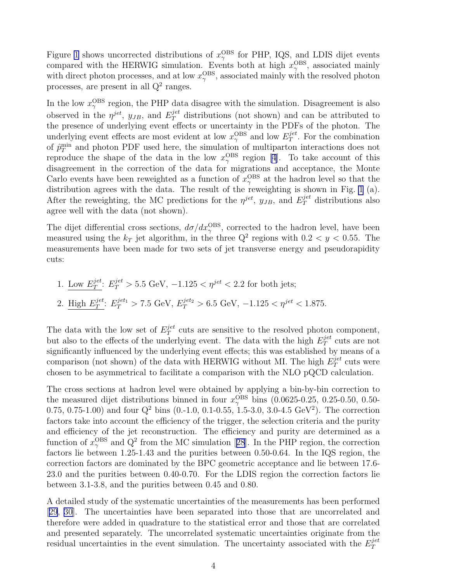Figure [1](#page-20-0) shows uncorrected distributions of  $x_{\gamma}^{\text{OBS}}$  $_{\gamma}^{\mathrm{OBS}}$  for PHP, IQS, and LDIS dijet events compared with the HERWIG simulation. Events both at high  $x_{\gamma}^{\text{OBS}}$  $_{\gamma}^{\mathrm{OBS}}$ , associated mainly with direct photon processes, and at low  $x_{\gamma}^{\text{OBS}}$  $_{\gamma}^{\mathrm{OBS}}$ , associated mainly with the resolved photon processes, are present in all  $Q^2$  ranges.

In the low  $x_{\gamma}^{\text{OBS}}$  $\gamma^{\text{OBS}}$  region, the PHP data disagree with the simulation. Disagreement is also observed in the  $\eta^{jet}$ ,  $y_{JB}$ , and  $E_T^{jet}$  distributions (not shown) and can be attributed to the presence of underlying event effects or uncertainty in the PDFs of the photon. The underlying event effects are most evident at low  $x_{\gamma}^{\text{OBS}}$  $_{\gamma}^{\text{OBS}}$  and low  $E^{jet}_T$  $T^{\text{jet}}$ . For the combination of  $\hat{p}_T^{\min}$  $T<sub>T</sub><sup>min</sup>$  and photon PDF used here, the simulation of multiparton interactions does not reproduce the shape of the data in the low  $x_{\gamma}^{\text{OBS}}$  $_{\gamma}^{\mathrm{OBS}}$  region [\[4](#page-17-0)]. To take account of this disagreement in the correction of the data for migrations and acceptance, the Monte Carlo events have been reweighted as a function of  $x_{\gamma}^{\text{OBS}}$  $_{\gamma}^{\mathrm{OBS}}$  at the hadron level so that the distribution agrees with the data. The result of the reweighting is shown in Fig. [1](#page-20-0) (a). After the reweighting, the MC predictions for the  $\eta^{jet}$ ,  $y_{JB}$ , and  $E_T^{jet}$  distributions also agree well with the data (not shown).

The dijet differential cross sections,  $d\sigma/dx_{\gamma}^{\text{OBS}}$ , corrected to the hadron level, have been measured using the  $k_T$  jet algorithm, in the three  $Q^2$  regions with  $0.2 < y < 0.55$ . The measurements have been made for two sets of jet transverse energy and pseudorapidity cuts:

1. Low 
$$
E_T^{jet}
$$
:  $E_T^{jet} > 5.5$  GeV,  $-1.125 < \eta^{jet} < 2.2$  for both jets;  
2. High  $E_T^{jet}$ :  $E_T^{jet_1} > 7.5$  GeV,  $E_T^{jet_2} > 6.5$  GeV,  $-1.125 < \eta^{jet} < 1.875$ .

The data with the low set of  $E_T^{jet}$  $T<sup>jet</sup>$  cuts are sensitive to the resolved photon component, but also to the effects of the underlying event. The data with the high  $E_T^{jet}$  $T^{jet}$  cuts are not significantly influenced by the underlying event effects; this was established by means of a comparison (not shown) of the data with HERWIG without MI. The high  $E_T^{jet}$  $T^{jet}$  cuts were chosen to be asymmetrical to facilitate a comparison with the NLO pQCD calculation.

The cross sections at hadron level were obtained by applying a bin-by-bin correction to the measured dijet distributions binned in four  $x_{\gamma}^{\text{OBS}}$  bins (0.0625-0.25, 0.25-0.50, 0.50-0.75, 0.75-1.00) and four  $Q^2$  bins (0.-1.0, 0.1-0.55, 1.5-3.0, 3.0-4.5 GeV<sup>2</sup>). The correction factors take into account the efficiency of the trigger, the selection criteria and the purity and efficiency of the jet reconstruction. The efficiency and purity are determined as a functionof  $x_{\gamma}^{\text{OBS}}$  and  $Q^2$  from the MC simulation [[28](#page-18-0)]. In the PHP region, the correction factors lie between 1.25-1.43 and the purities between 0.50-0.64. In the IQS region, the correction factors are dominated by the BPC geometric acceptance and lie between 17.6- 23.0 and the purities between 0.40-0.70. For the LDIS region the correction factors lie between 3.1-3.8, and the purities between 0.45 and 0.80.

A detailed study of the systematic uncertainties of the measurements has been performed [[29](#page-18-0), [30\]](#page-18-0). The uncertainties have been separated into those that are uncorrelated and therefore were added in quadrature to the statistical error and those that are correlated and presented separately. The uncorrelated systematic uncertainties originate from the residual uncertainties in the event simulation. The uncertainty associated with the  $E_T^{jet}$ T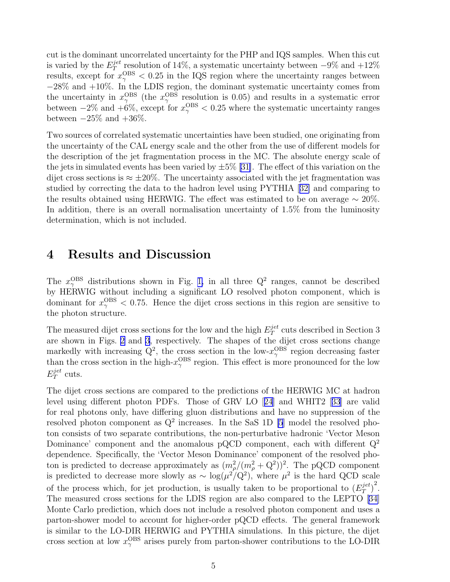cut is the dominant uncorrelated uncertainty for the PHP and IQS samples. When this cut is varied by the  $E_T^{jet}$  $T<sup>jet</sup>$  resolution of 14%, a systematic uncertainty between  $-9\%$  and  $+12\%$ results, except for  $x_{\gamma}^{\text{OBS}} < 0.25$  in the IQS region where the uncertainty ranges between −28% and +10%. In the LDIS region, the dominant systematic uncertainty comes from the uncertainty in  $x_{\gamma}^{\text{OBS}}$  $_{\gamma}^{\text{OBS}}$  (the  $x_{\gamma}^{\text{OBS}}$  $_{\gamma}^{\mathrm{OBS}}$  resolution is 0.05) and results in a systematic error between  $-2\%$  and  $+6\%$ , except for  $x_{\gamma}^{\text{OBS}} < 0.25$  where the systematic uncertainty ranges between  $-25\%$  and  $+36\%$ .

Two sources of correlated systematic uncertainties have been studied, one originating from the uncertainty of the CAL energy scale and the other from the use of different models for the description of the jet fragmentation process in the MC. The absolute energy scale of the jets in simulated events has been varied by  $\pm 5\%$  [\[31\]](#page-19-0). The effect of this variation on the dijet cross sections is  $\approx \pm 20\%$ . The uncertainty associated with the jet fragmentation was studied by correcting the data to the hadron level using PYTHIA[[32\]](#page-19-0) and comparing to the results obtained using HERWIG. The effect was estimated to be on average  $\sim 20\%$ . In addition, there is an overall normalisation uncertainty of 1.5% from the luminosity determination, which is not included.

#### 4 Results and Discussion

The  $x_{\gamma}^{\text{OBS}}$  distributions shown in Fig. [1,](#page-20-0) in all three  $Q^2$  ranges, cannot be described by HERWIG without including a significant LO resolved photon component, which is dominant for  $x_{\gamma}^{\text{OBS}} < 0.75$ . Hence the dijet cross sections in this region are sensitive to the photon structure.

The measured dijet cross sections for the low and the high  $E_T^{jet}$  $T<sup>jet</sup>$  cuts described in Section 3 are shown in Figs. [2](#page-21-0) and [3,](#page-22-0) respectively. The shapes of the dijet cross sections change markedly with increasing  $Q^2$ , the cross section in the low- $x_{\gamma}^{\text{OBS}}$  $\frac{OBS}{\gamma}$  region decreasing faster than the cross section in the high- $x_{\gamma}^{\text{OBS}}$  $\gamma^{\text{OBS}}$  region. This effect is more pronounced for the low  $E_T^{jet}$  $T^{jet}$  cuts.

The dijet cross sections are compared to the predictions of the HERWIG MC at hadron level using different photon PDFs. Those of GRV LO[[24](#page-18-0)] and WHIT2[[33](#page-19-0)] are valid for real photons only, have differing gluon distributions and have no suppression of the resolved photon component as  $Q^2$  increases. In the SaS 1D [\[5](#page-17-0)] model the resolved photon consists of two separate contributions, the non-perturbative hadronic 'Vector Meson Dominance' component and the anomalous pQCD component, each with different  $Q^2$ dependence. Specifically, the 'Vector Meson Dominance' component of the resolved photon is predicted to decrease approximately as  $(m_{\rho}^2/(m_{\rho}^2 + Q^2))^2$ . The pQCD component is predicted to decrease more slowly as  $\sim \log(\mu^2/Q^2)$ , where  $\mu^2$  is the hard QCD scale of the process which, for jet production, is usually taken to be proportional to  $(E_T^{jet})$  $\frac{jet}{T}$ <sup>2</sup>. The measured cross sections for the LDIS region are also compared to the LEPTO [\[34\]](#page-19-0) Monte Carlo prediction, which does not include a resolved photon component and uses a parton-shower model to account for higher-order pQCD effects. The general framework is similar to the LO-DIR HERWIG and PYTHIA simulations. In this picture, the dijet cross section at low  $x_{\gamma}^{\text{OBS}}$  $\frac{60}{9}$  arises purely from parton-shower contributions to the LO-DIR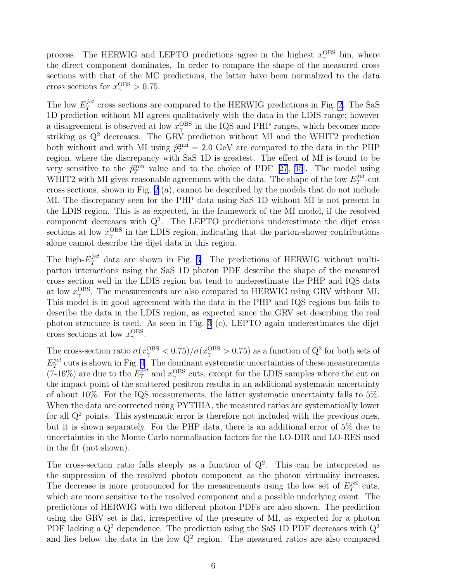process. The HERWIG and LEPTO predictions agree in the highest  $x_{\gamma}^{\text{OBS}}$  bin, where the direct component dominates. In order to compare the shape of the measured cross sections with that of the MC predictions, the latter have been normalized to the data cross sections for  $x_{\gamma}^{\text{OBS}} > 0.75$ .

The low  $E_T^{jet}$  $T<sup>jet</sup>$  cross sections are compared to the HERWIG predictions in Fig. [2](#page-21-0). The SaS 1D prediction without MI agrees qualitatively with the data in the LDIS range; however a disagreement is observed at low  $x_{\gamma}^{\text{OBS}}$  $_{\gamma}^{\rm OBS}$  in the IQS and PHP ranges, which becomes more striking as  $Q^2$  decreases. The GRV prediction without MI and the WHIT2 prediction both without and with MI using  $\hat{p}_T^{\min} = 2.0 \text{ GeV}$  are compared to the data in the PHP region, where the discrepancy with SaS 1D is greatest. The effect of MI is found to be very sensitive to the  $\hat{p}_T^{\min}$  value and to the choice of PDF [\[27,](#page-18-0) [35](#page-19-0)]. The model using WHIT2 with MI gives reasonable agreement with the data. The shape of the low  $E_T^{jet}$  $T^{\mu\nu}$ -cut cross sections, shown in Fig. [2](#page-21-0) (a), cannot be described by the models that do not include MI. The discrepancy seen for the PHP data using SaS 1D without MI is not present in the LDIS region. This is as expected, in the framework of the MI model, if the resolved component decreases with  $Q^2$ . The LEPTO predictions underestimate the dijet cross sections at low  $x_{\gamma}^{\text{OBS}}$  $_{\gamma}^{\rm OBS}$  in the LDIS region, indicating that the parton-shower contributions alone cannot describe the dijet data in this region.

The high- $E_T^{jet}$  data are shown in Fig. [3.](#page-22-0) The predictions of HERWIG without multiparton interactions using the SaS 1D photon PDF describe the shape of the measured cross section well in the LDIS region but tend to underestimate the PHP and IQS data at low  $x_{\gamma}^{\text{OBS}}$  $\gamma^{\text{OBS}}$ . The measurements are also compared to HERWIG using GRV without MI. This model is in good agreement with the data in the PHP and IQS regions but fails to describe the data in the LDIS region, as expected since the GRV set describing the real photon structure is used. As seen in Fig. [3](#page-22-0) (c), LEPTO again underestimates the dijet cross sections at low  $x_{\gamma}^{\text{OBS}}$  $_{\gamma}^{\mathrm{OBS}}.$ 

The cross-section ratio  $\sigma(x_\gamma^{\rm OBS} < 0.75)/\sigma(x_\gamma^{\rm OBS} > 0.75)$  as a function of  $Q^2$  for both sets of  $E_T^{jet}$  $T<sup>jet</sup>$  cuts is shown in Fig. [4.](#page-23-0) The dominant systematic uncertainties of these measurements  $(7-16\%)$  are due to the  $E_T^{jet}$  and  $x_\gamma^{\text{OBS}}$  $_{\gamma}^{\rm OBS}$  cuts, except for the LDIS samples where the cut on the impact point of the scattered positron results in an additional systematic uncertainty of about 10%. For the IQS measurements, the latter systematic uncertainty falls to 5%. When the data are corrected using PYTHIA, the measured ratios are systematically lower for all  $Q<sup>2</sup>$  points. This systematic error is therefore not included with the previous ones, but it is shown separately. For the PHP data, there is an additional error of 5% due to uncertainties in the Monte Carlo normalisation factors for the LO-DIR and LO-RES used in the fit (not shown).

The cross-section ratio falls steeply as a function of  $Q^2$ . This can be interpreted as the suppression of the resolved photon component as the photon virtuality increases. The decrease is more pronounced for the measurements using the low set of  $E_T^{jet}$  $T^{jet}$  cuts, which are more sensitive to the resolved component and a possible underlying event. The predictions of HERWIG with two different photon PDFs are also shown. The prediction using the GRV set is flat, irrespective of the presence of MI, as expected for a photon PDF lacking a  $Q^2$  dependence. The prediction using the SaS 1D PDF decreases with  $Q^2$ and lies below the data in the low  $Q^2$  region. The measured ratios are also compared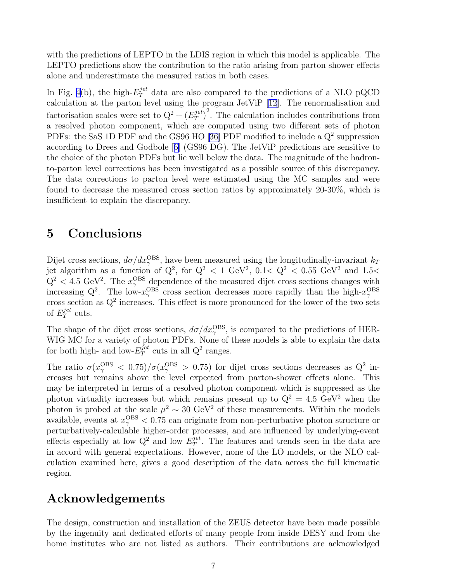with the predictions of LEPTO in the LDIS region in which this model is applicable. The LEPTO predictions show the contribution to the ratio arising from parton shower effects alone and underestimate the measured ratios in both cases.

In Fig. [4\(](#page-23-0)b), the high- $E_T^{jet}$  data are also compared to the predictions of a NLO pQCD calculation at the parton level using the program JetViP[[12](#page-18-0)]. The renormalisation and factorisation scales were set to  $Q^2 + (E_T^{jet})$  $\int_T^{jet}$ )<sup>2</sup>. The calculation includes contributions from a resolved photon component, which are computed using two different sets of photon PDFs: the SaS 1D PDF and the GS96 HO [\[36](#page-19-0)] PDF modified to include a  $Q^2$  suppression according to Drees and Godbole[[6\]](#page-17-0) (GS96 DG). The JetViP predictions are sensitive to the choice of the photon PDFs but lie well below the data. The magnitude of the hadronto-parton level corrections has been investigated as a possible source of this discrepancy. The data corrections to parton level were estimated using the MC samples and were found to decrease the measured cross section ratios by approximately 20-30%, which is insufficient to explain the discrepancy.

#### 5 Conclusions

Dijet cross sections,  $d\sigma/dx_{\gamma}^{\text{OBS}}$ , have been measured using the longitudinally-invariant  $k_T$ jet algorithm as a function of  $Q^2$ , for  $Q^2 < 1$  GeV<sup>2</sup>,  $0.1 < Q^2 < 0.55$  GeV<sup>2</sup> and 1.5<  $Q^2$  < 4.5 GeV<sup>2</sup>. The  $x_{\gamma}^{\text{OBS}}$  dependence of the measured dijet cross sections changes with increasing  $Q^2$ . The low- $x_\gamma^{\text{OBS}}$  $_{\gamma}^{\text{OBS}}$  cross section decreases more rapidly than the high- $x_{\gamma}^{\text{OBS}}$ example  $Q$ . The low- $x_{\gamma}$  cross section decreases more rapidly than the ingn- $x_{\gamma}$  cross section as  $Q^2$  increases. This effect is more pronounced for the lower of the two sets of  $E_T^{jet}$  $T^{jet}$  cuts.

The shape of the dijet cross sections,  $d\sigma/dx_{\gamma}^{\mathrm{OBS}}$ , is compared to the predictions of HER-WIG MC for a variety of photon PDFs. None of these models is able to explain the data for both high- and low- $E_T^{jet}$  $T^{\text{jet}}$  cuts in all  $Q^2$  ranges.

The ratio  $\sigma(x_{\gamma}^{\text{OBS}} < 0.75)/\sigma(x_{\gamma}^{\text{OBS}} > 0.75)$  for dijet cross sections decreases as Q<sup>2</sup> increases but remains above the level expected from parton-shower effects alone. This may be interpreted in terms of a resolved photon component which is suppressed as the photon virtuality increases but which remains present up to  $Q^2 = 4.5 \text{ GeV}^2$  when the photon is probed at the scale  $\mu^2 \sim 30 \text{ GeV}^2$  of these measurements. Within the models available, events at  $x_{\gamma}^{\text{OBS}} < 0.75$  can originate from non-perturbative photon structure or perturbatively-calculable higher-order processes, and are influenced by underlying-event effects especially at low  $Q^2$  and low  $E_T^{jet}$  $T^{\text{jet}}$ . The features and trends seen in the data are in accord with general expectations. However, none of the LO models, or the NLO calculation examined here, gives a good description of the data across the full kinematic region.

### Acknowledgements

The design, construction and installation of the ZEUS detector have been made possible by the ingenuity and dedicated efforts of many people from inside DESY and from the home institutes who are not listed as authors. Their contributions are acknowledged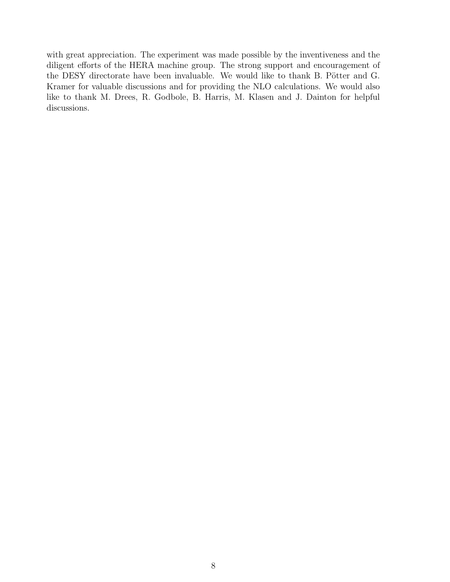with great appreciation. The experiment was made possible by the inventiveness and the diligent efforts of the HERA machine group. The strong support and encouragement of the DESY directorate have been invaluable. We would like to thank B. Pötter and G. Kramer for valuable discussions and for providing the NLO calculations. We would also like to thank M. Drees, R. Godbole, B. Harris, M. Klasen and J. Dainton for helpful discussions.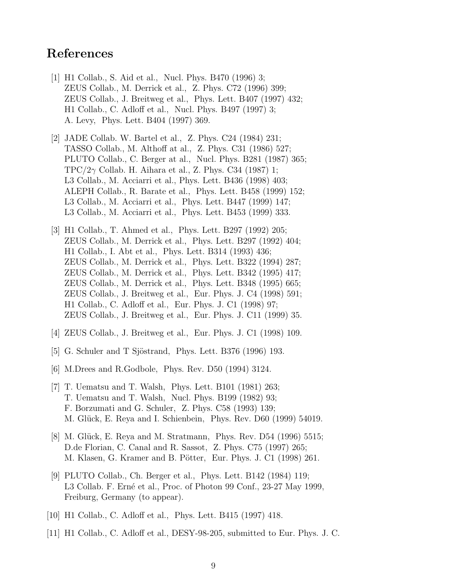### <span id="page-17-0"></span>References

- [1] H1 Collab., S. Aid et al., Nucl. Phys. B470 (1996) 3; ZEUS Collab., M. Derrick et al., Z. Phys. C72 (1996) 399; ZEUS Collab., J. Breitweg et al., Phys. Lett. B407 (1997) 432; H1 Collab., C. Adloff et al., Nucl. Phys. B497 (1997) 3; A. Levy, Phys. Lett. B404 (1997) 369.
- [2] JADE Collab. W. Bartel et al., Z. Phys. C24 (1984) 231; TASSO Collab., M. Althoff at al., Z. Phys. C31 (1986) 527; PLUTO Collab., C. Berger at al., Nucl. Phys. B281 (1987) 365; TPC/2 $\gamma$  Collab. H. Aihara et al., Z. Phys. C34 (1987) 1; L3 Collab., M. Acciarri et al., Phys. Lett. B436 (1998) 403; ALEPH Collab., R. Barate et al., Phys. Lett. B458 (1999) 152; L3 Collab., M. Acciarri et al., Phys. Lett. B447 (1999) 147; L3 Collab., M. Acciarri et al., Phys. Lett. B453 (1999) 333.
- [3] H1 Collab., T. Ahmed et al., Phys. Lett. B297 (1992) 205; ZEUS Collab., M. Derrick et al., Phys. Lett. B297 (1992) 404; H1 Collab., I. Abt et al., Phys. Lett. B314 (1993) 436; ZEUS Collab., M. Derrick et al., Phys. Lett. B322 (1994) 287; ZEUS Collab., M. Derrick et al., Phys. Lett. B342 (1995) 417; ZEUS Collab., M. Derrick et al., Phys. Lett. B348 (1995) 665; ZEUS Collab., J. Breitweg et al., Eur. Phys. J. C4 (1998) 591; H1 Collab., C. Adloff et al., Eur. Phys. J. C1 (1998) 97; ZEUS Collab., J. Breitweg et al., Eur. Phys. J. C11 (1999) 35.
- [4] ZEUS Collab., J. Breitweg et al., Eur. Phys. J. C1 (1998) 109.
- [5] G. Schuler and T Sjöstrand, Phys. Lett. B376 (1996) 193.
- [6] M.Drees and R.Godbole, Phys. Rev. D50 (1994) 3124.
- [7] T. Uematsu and T. Walsh, Phys. Lett. B101 (1981) 263; T. Uematsu and T. Walsh, Nucl. Phys. B199 (1982) 93; F. Borzumati and G. Schuler, Z. Phys. C58 (1993) 139; M. Glück, E. Reya and I. Schienbein, Phys. Rev. D60 (1999) 54019.
- [8] M. Glück, E. Reya and M. Stratmann, Phys. Rev. D54 (1996) 5515; D.de Florian, C. Canal and R. Sassot, Z. Phys. C75 (1997) 265; M. Klasen, G. Kramer and B. Pötter, Eur. Phys. J. C1 (1998) 261.
- [9] PLUTO Collab., Ch. Berger et al., Phys. Lett. B142 (1984) 119; L3 Collab. F. Erné et al., Proc. of Photon 99 Conf., 23-27 May 1999, Freiburg, Germany (to appear).
- [10] H1 Collab., C. Adloff et al., Phys. Lett. B415 (1997) 418.
- [11] H1 Collab., C. Adloff et al., DESY-98-205, submitted to Eur. Phys. J. C.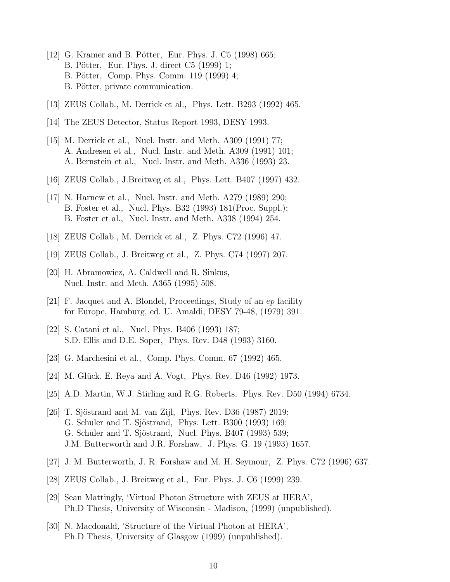- <span id="page-18-0"></span>[12] G. Kramer and B. Pötter, Eur. Phys. J. C5 (1998) 665; B. Pötter, Eur. Phys. J. direct C5 (1999) 1; B. Pötter, Comp. Phys. Comm. 119 (1999) 4; B. Pötter, private communication.
- [13] ZEUS Collab., M. Derrick et al., Phys. Lett. B293 (1992) 465.
- [14] The ZEUS Detector, Status Report 1993, DESY 1993.
- [15] M. Derrick et al., Nucl. Instr. and Meth. A309 (1991) 77; A. Andresen et al., Nucl. Instr. and Meth. A309 (1991) 101; A. Bernstein et al., Nucl. Instr. and Meth. A336 (1993) 23.
- [16] ZEUS Collab., J.Breitweg et al., Phys. Lett. B407 (1997) 432.
- [17] N. Harnew et al., Nucl. Instr. and Meth. A279 (1989) 290; B. Foster et al., Nucl. Phys. B32 (1993) 181(Proc. Suppl.); B. Foster et al., Nucl. Instr. and Meth. A338 (1994) 254.
- [18] ZEUS Collab., M. Derrick et al., Z. Phys. C72 (1996) 47.
- [19] ZEUS Collab., J. Breitweg et al., Z. Phys. C74 (1997) 207.
- [20] H. Abramowicz, A. Caldwell and R. Sinkus, Nucl. Instr. and Meth. A365 (1995) 508.
- [21] F. Jacquet and A. Blondel, Proceedings, Study of an ep facility for Europe, Hamburg, ed. U. Amaldi, DESY 79-48, (1979) 391.
- [22] S. Catani et al., Nucl. Phys. B406 (1993) 187; S.D. Ellis and D.E. Soper, Phys. Rev. D48 (1993) 3160.
- [23] G. Marchesini et al., Comp. Phys. Comm. 67 (1992) 465.
- [24] M. Glück, E. Reya and A. Vogt, Phys. Rev. D46 (1992) 1973.
- [25] A.D. Martin, W.J. Stirling and R.G. Roberts, Phys. Rev. D50 (1994) 6734.
- [26] T. Sjöstrand and M. van Zijl, Phys. Rev. D36 (1987) 2019; G. Schuler and T. Sjöstrand, Phys. Lett. B300 (1993) 169; G. Schuler and T. Sjöstrand, Nucl. Phys. B407 (1993) 539; J.M. Butterworth and J.R. Forshaw, J. Phys. G. 19 (1993) 1657.
- [27] J. M. Butterworth, J. R. Forshaw and M. H. Seymour, Z. Phys. C72 (1996) 637.
- [28] ZEUS Collab., J. Breitweg et al., Eur. Phys. J. C6 (1999) 239.
- [29] Sean Mattingly, 'Virtual Photon Structure with ZEUS at HERA', Ph.D Thesis, University of Wisconsin - Madison, (1999) (unpublished).
- [30] N. Macdonald, 'Structure of the Virtual Photon at HERA', Ph.D Thesis, University of Glasgow (1999) (unpublished).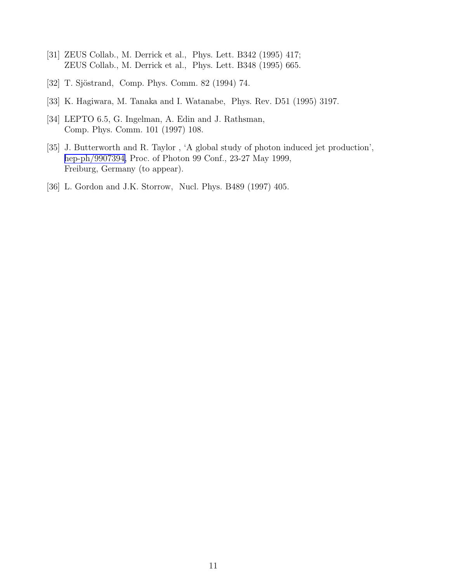- <span id="page-19-0"></span>[31] ZEUS Collab., M. Derrick et al., Phys. Lett. B342 (1995) 417; ZEUS Collab., M. Derrick et al., Phys. Lett. B348 (1995) 665.
- [32] T. Sjöstrand, Comp. Phys. Comm. 82 (1994) 74.
- [33] K. Hagiwara, M. Tanaka and I. Watanabe, Phys. Rev. D51 (1995) 3197.
- [34] LEPTO 6.5, G. Ingelman, A. Edin and J. Rathsman, Comp. Phys. Comm. 101 (1997) 108.
- [35] J. Butterworth and R. Taylor , 'A global study of photon induced jet production', [hep-ph/9907394,](http://arxiv.org/abs/hep-ph/9907394) Proc. of Photon 99 Conf., 23-27 May 1999, Freiburg, Germany (to appear).
- [36] L. Gordon and J.K. Storrow, Nucl. Phys. B489 (1997) 405.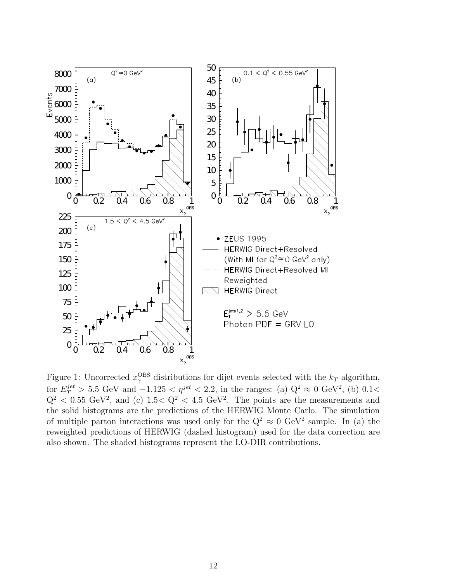<span id="page-20-0"></span>

Figure 1: Uncorrected  $x_{\gamma}^{\text{OBS}}$  distributions for dijet events selected with the  $k_T$  algorithm, for  $E_T^{jet} > 5.5$  GeV and  $-1.125 < \eta^{jet} < 2.2$ , in the ranges: (a)  $Q^2 \approx 0$  GeV<sup>2</sup>, (b) 0.1<  $Q^2$  < 0.55 GeV<sup>2</sup>, and (c) 1.5  $Q^2$  < 4.5 GeV<sup>2</sup>. The points are the measurements and the solid histograms are the predictions of the HERWIG Monte Carlo. The simulation of multiple parton interactions was used only for the  $Q^2 \approx 0$  GeV<sup>2</sup> sample. In (a) the reweighted predictions of HERWIG (dashed histogram) used for the data correction are also shown. The shaded histograms represent the LO-DIR contributions.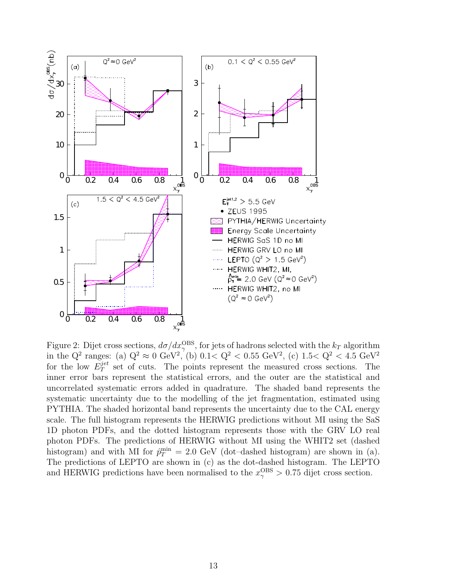<span id="page-21-0"></span>

Figure 2: Dijet cross sections,  $d\sigma/dx_{\gamma}^{\mathrm{OBS}}$ , for jets of hadrons selected with the  $k_T$  algorithm in the Q<sup>2</sup> ranges: (a)  $Q^2 \approx 0 \text{ GeV}^2$ , (b)  $0.1 < Q^2 < 0.55 \text{ GeV}^2$ , (c)  $1.5 < Q^2 < 4.5 \text{ GeV}^2$ for the low  $E_T^{jet}$  $T<sup>jet</sup>$  set of cuts. The points represent the measured cross sections. The inner error bars represent the statistical errors, and the outer are the statistical and uncorrelated systematic errors added in quadrature. The shaded band represents the systematic uncertainty due to the modelling of the jet fragmentation, estimated using PYTHIA. The shaded horizontal band represents the uncertainty due to the CAL energy scale. The full histogram represents the HERWIG predictions without MI using the SaS 1D photon PDFs, and the dotted histogram represents those with the GRV LO real photon PDFs. The predictions of HERWIG without MI using the WHIT2 set (dashed histogram) and with MI for  $\hat{p}_T^{\min} = 2.0 \text{ GeV}$  (dot-dashed histogram) are shown in (a). The predictions of LEPTO are shown in (c) as the dot-dashed histogram. The LEPTO and HERWIG predictions have been normalised to the  $x_{\gamma}^{\text{OBS}} > 0.75$  dijet cross section.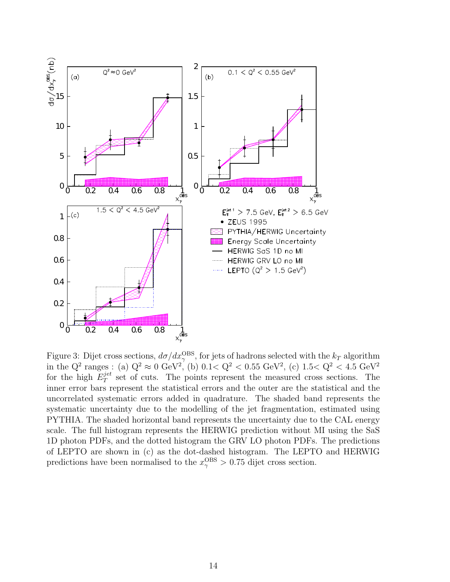<span id="page-22-0"></span>

Figure 3: Dijet cross sections,  $d\sigma/dx_{\gamma}^{\mathrm{OBS}}$ , for jets of hadrons selected with the  $k_T$  algorithm in the Q<sup>2</sup> ranges : (a)  $Q^2 \approx 0 \text{ GeV}^2$ , (b)  $0.1 < Q^2 < 0.55 \text{ GeV}^2$ , (c)  $1.5 < Q^2 < 4.5 \text{ GeV}^2$ for the high  $E_T^{jet}$  $T<sup>jet</sup>$  set of cuts. The points represent the measured cross sections. The inner error bars represent the statistical errors and the outer are the statistical and the uncorrelated systematic errors added in quadrature. The shaded band represents the systematic uncertainty due to the modelling of the jet fragmentation, estimated using PYTHIA. The shaded horizontal band represents the uncertainty due to the CAL energy scale. The full histogram represents the HERWIG prediction without MI using the SaS 1D photon PDFs, and the dotted histogram the GRV LO photon PDFs. The predictions of LEPTO are shown in (c) as the dot-dashed histogram. The LEPTO and HERWIG predictions have been normalised to the  $x_{\gamma}^{\text{OBS}} > 0.75$  dijet cross section.